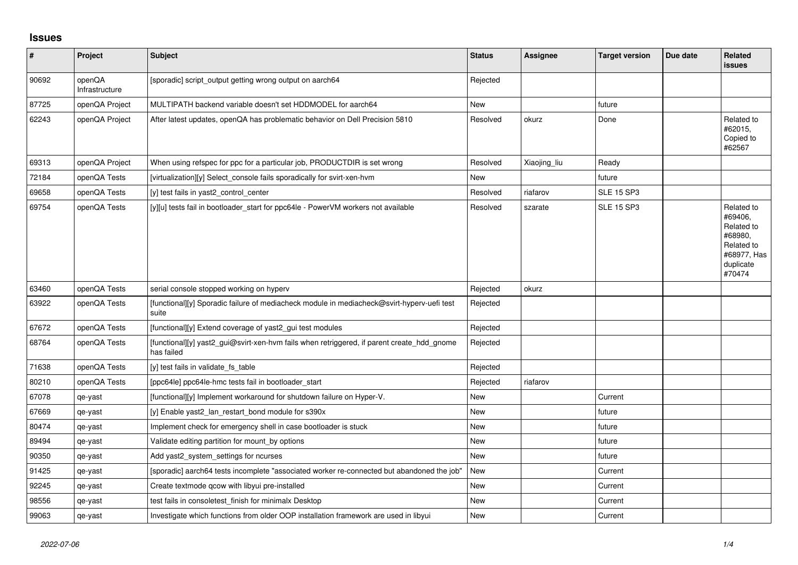## **Issues**

| $\pmb{\#}$ | Project                  | <b>Subject</b>                                                                                           | <b>Status</b> | <b>Assignee</b> | <b>Target version</b> | Due date | <b>Related</b><br>issues                                                                           |
|------------|--------------------------|----------------------------------------------------------------------------------------------------------|---------------|-----------------|-----------------------|----------|----------------------------------------------------------------------------------------------------|
| 90692      | openQA<br>Infrastructure | [sporadic] script_output getting wrong output on aarch64                                                 | Rejected      |                 |                       |          |                                                                                                    |
| 87725      | openQA Project           | MULTIPATH backend variable doesn't set HDDMODEL for aarch64                                              | <b>New</b>    |                 | future                |          |                                                                                                    |
| 62243      | openQA Project           | After latest updates, openQA has problematic behavior on Dell Precision 5810                             | Resolved      | okurz           | Done                  |          | Related to<br>#62015,<br>Copied to<br>#62567                                                       |
| 69313      | openQA Project           | When using refspec for ppc for a particular job, PRODUCTDIR is set wrong                                 | Resolved      | Xiaojing_liu    | Ready                 |          |                                                                                                    |
| 72184      | openQA Tests             | [virtualization][y] Select_console fails sporadically for svirt-xen-hvm                                  | <b>New</b>    |                 | future                |          |                                                                                                    |
| 69658      | openQA Tests             | [y] test fails in yast2_control_center                                                                   | Resolved      | riafarov        | <b>SLE 15 SP3</b>     |          |                                                                                                    |
| 69754      | openQA Tests             | [y][u] tests fail in bootloader_start for ppc64le - PowerVM workers not available                        | Resolved      | szarate         | <b>SLE 15 SP3</b>     |          | Related to<br>#69406,<br>Related to<br>#68980,<br>Related to<br>#68977, Has<br>duplicate<br>#70474 |
| 63460      | openQA Tests             | serial console stopped working on hyperv                                                                 | Rejected      | okurz           |                       |          |                                                                                                    |
| 63922      | openQA Tests             | [functional][y] Sporadic failure of mediacheck module in mediacheck@svirt-hyperv-uefi test<br>suite      | Rejected      |                 |                       |          |                                                                                                    |
| 67672      | openQA Tests             | [functional][y] Extend coverage of yast2_gui test modules                                                | Rejected      |                 |                       |          |                                                                                                    |
| 68764      | openQA Tests             | [functional][y] yast2_gui@svirt-xen-hvm fails when retriggered, if parent create_hdd_gnome<br>has failed | Rejected      |                 |                       |          |                                                                                                    |
| 71638      | openQA Tests             | [y] test fails in validate_fs_table                                                                      | Rejected      |                 |                       |          |                                                                                                    |
| 80210      | openQA Tests             | [ppc64le] ppc64le-hmc tests fail in bootloader_start                                                     | Rejected      | riafarov        |                       |          |                                                                                                    |
| 67078      | qe-yast                  | [functional][y] Implement workaround for shutdown failure on Hyper-V.                                    | New           |                 | Current               |          |                                                                                                    |
| 67669      | qe-yast                  | [y] Enable yast2 lan restart bond module for s390x                                                       | <b>New</b>    |                 | future                |          |                                                                                                    |
| 80474      | qe-yast                  | Implement check for emergency shell in case bootloader is stuck                                          | <b>New</b>    |                 | future                |          |                                                                                                    |
| 89494      | qe-yast                  | Validate editing partition for mount_by options                                                          | <b>New</b>    |                 | future                |          |                                                                                                    |
| 90350      | qe-yast                  | Add yast2_system_settings for ncurses                                                                    | <b>New</b>    |                 | future                |          |                                                                                                    |
| 91425      | qe-yast                  | [sporadic] aarch64 tests incomplete "associated worker re-connected but abandoned the job"               | <b>New</b>    |                 | Current               |          |                                                                                                    |
| 92245      | qe-yast                  | Create textmode gcow with libyui pre-installed                                                           | <b>New</b>    |                 | Current               |          |                                                                                                    |
| 98556      | qe-yast                  | test fails in consoletest_finish for minimalx Desktop                                                    | <b>New</b>    |                 | Current               |          |                                                                                                    |
| 99063      | qe-yast                  | Investigate which functions from older OOP installation framework are used in libyui                     | <b>New</b>    |                 | Current               |          |                                                                                                    |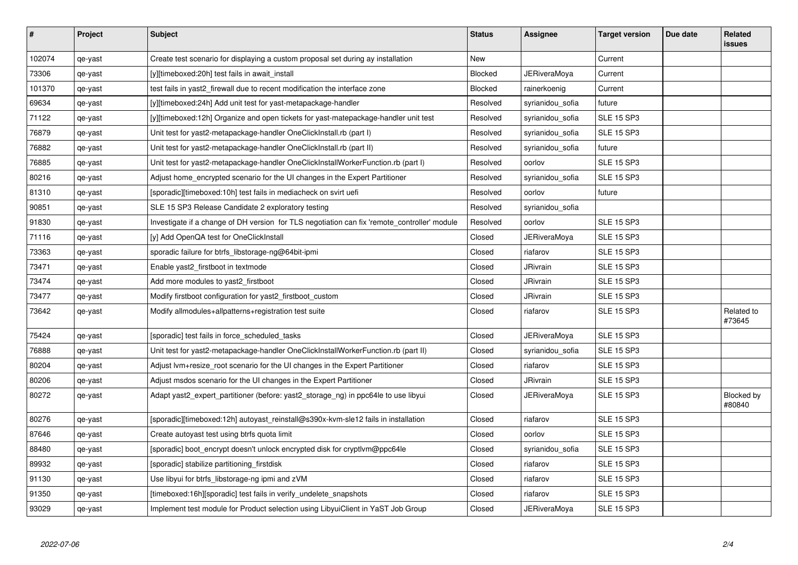| #      | Project | <b>Subject</b>                                                                               | <b>Status</b> | Assignee            | <b>Target version</b> | Due date | <b>Related</b><br><b>issues</b> |
|--------|---------|----------------------------------------------------------------------------------------------|---------------|---------------------|-----------------------|----------|---------------------------------|
| 102074 | qe-yast | Create test scenario for displaying a custom proposal set during ay installation             | <b>New</b>    |                     | Current               |          |                                 |
| 73306  | qe-yast | [y][timeboxed:20h] test fails in await install                                               | Blocked       | JERiveraMoya        | Current               |          |                                 |
| 101370 | qe-yast | test fails in yast2_firewall due to recent modification the interface zone                   | Blocked       | rainerkoenig        | Current               |          |                                 |
| 69634  | qe-yast | [y][timeboxed:24h] Add unit test for yast-metapackage-handler                                | Resolved      | syrianidou sofia    | future                |          |                                 |
| 71122  | qe-yast | [y][timeboxed:12h] Organize and open tickets for yast-matepackage-handler unit test          | Resolved      | syrianidou_sofia    | <b>SLE 15 SP3</b>     |          |                                 |
| 76879  | qe-yast | Unit test for yast2-metapackage-handler OneClickInstall.rb (part I)                          | Resolved      | syrianidou sofia    | <b>SLE 15 SP3</b>     |          |                                 |
| 76882  | qe-yast | Unit test for yast2-metapackage-handler OneClickInstall.rb (part II)                         | Resolved      | syrianidou_sofia    | future                |          |                                 |
| 76885  | qe-yast | Unit test for yast2-metapackage-handler OneClickInstallWorkerFunction.rb (part I)            | Resolved      | oorlov              | <b>SLE 15 SP3</b>     |          |                                 |
| 80216  | qe-yast | Adjust home_encrypted scenario for the UI changes in the Expert Partitioner                  | Resolved      | syrianidou_sofia    | <b>SLE 15 SP3</b>     |          |                                 |
| 81310  | qe-yast | [sporadic][timeboxed:10h] test fails in mediacheck on svirt uefi                             | Resolved      | oorlov              | future                |          |                                 |
| 90851  | qe-yast | SLE 15 SP3 Release Candidate 2 exploratory testing                                           | Resolved      | syrianidou_sofia    |                       |          |                                 |
| 91830  | qe-yast | Investigate if a change of DH version for TLS negotiation can fix 'remote_controller' module | Resolved      | oorlov              | <b>SLE 15 SP3</b>     |          |                                 |
| 71116  | qe-yast | [y] Add OpenQA test for OneClickInstall                                                      | Closed        | JERiveraMoya        | <b>SLE 15 SP3</b>     |          |                                 |
| 73363  | qe-yast | sporadic failure for btrfs_libstorage-ng@64bit-ipmi                                          | Closed        | riafarov            | <b>SLE 15 SP3</b>     |          |                                 |
| 73471  | qe-yast | Enable yast2 firstboot in textmode                                                           | Closed        | <b>JRivrain</b>     | <b>SLE 15 SP3</b>     |          |                                 |
| 73474  | qe-yast | Add more modules to yast2_firstboot                                                          | Closed        | JRivrain            | <b>SLE 15 SP3</b>     |          |                                 |
| 73477  | qe-yast | Modify firstboot configuration for yast2 firstboot custom                                    | Closed        | JRivrain            | <b>SLE 15 SP3</b>     |          |                                 |
| 73642  | qe-yast | Modify allmodules+allpatterns+registration test suite                                        | Closed        | riafarov            | <b>SLE 15 SP3</b>     |          | Related to<br>#73645            |
| 75424  | qe-yast | [sporadic] test fails in force_scheduled_tasks                                               | Closed        | <b>JERiveraMoya</b> | <b>SLE 15 SP3</b>     |          |                                 |
| 76888  | qe-yast | Unit test for yast2-metapackage-handler OneClickInstallWorkerFunction.rb (part II)           | Closed        | syrianidou_sofia    | <b>SLE 15 SP3</b>     |          |                                 |
| 80204  | qe-yast | Adjust Ivm+resize root scenario for the UI changes in the Expert Partitioner                 | Closed        | riafarov            | <b>SLE 15 SP3</b>     |          |                                 |
| 80206  | qe-yast | Adjust msdos scenario for the UI changes in the Expert Partitioner                           | Closed        | JRivrain            | <b>SLE 15 SP3</b>     |          |                                 |
| 80272  | qe-yast | Adapt yast2 expert partitioner (before: yast2 storage ng) in ppc64le to use libyui           | Closed        | <b>JERiveraMoya</b> | <b>SLE 15 SP3</b>     |          | Blocked by<br>#80840            |
| 80276  | qe-yast | [sporadic][timeboxed:12h] autoyast reinstall@s390x-kvm-sle12 fails in installation           | Closed        | riafarov            | <b>SLE 15 SP3</b>     |          |                                 |
| 87646  | qe-yast | Create autoyast test using btrfs quota limit                                                 | Closed        | oorlov              | <b>SLE 15 SP3</b>     |          |                                 |
| 88480  | qe-yast | [sporadic] boot encrypt doesn't unlock encrypted disk for cryptlym@ppc64le                   | Closed        | syrianidou_sofia    | <b>SLE 15 SP3</b>     |          |                                 |
| 89932  | qe-yast | [sporadic] stabilize partitioning_firstdisk                                                  | Closed        | riafarov            | <b>SLE 15 SP3</b>     |          |                                 |
| 91130  | qe-yast | Use libyui for btrfs_libstorage-ng ipmi and zVM                                              | Closed        | riafarov            | <b>SLE 15 SP3</b>     |          |                                 |
| 91350  | qe-yast | [timeboxed:16h][sporadic] test fails in verify_undelete_snapshots                            | Closed        | riafarov            | <b>SLE 15 SP3</b>     |          |                                 |
| 93029  | qe-yast | Implement test module for Product selection using LibyuiClient in YaST Job Group             | Closed        | JERiveraMoya        | <b>SLE 15 SP3</b>     |          |                                 |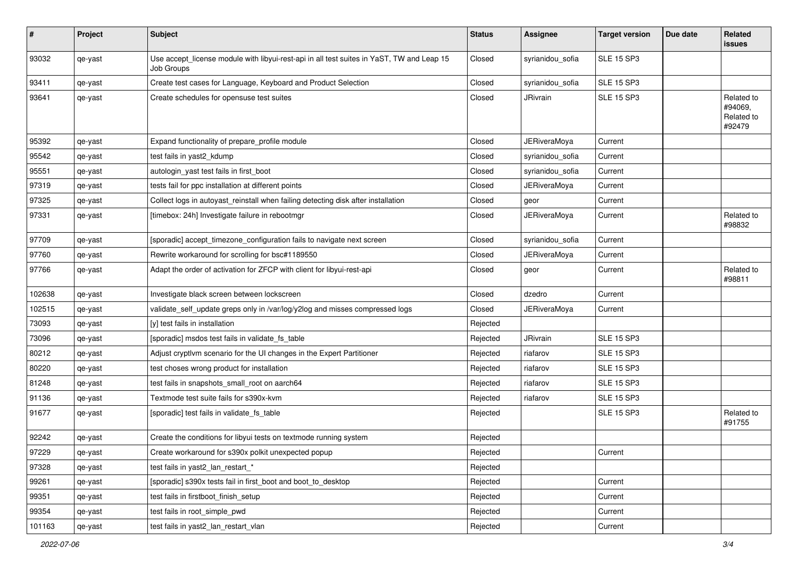| #      | Project | <b>Subject</b>                                                                                          | <b>Status</b> | Assignee            | <b>Target version</b> | Due date | Related<br>issues                             |
|--------|---------|---------------------------------------------------------------------------------------------------------|---------------|---------------------|-----------------------|----------|-----------------------------------------------|
| 93032  | qe-yast | Use accept_license module with libyui-rest-api in all test suites in YaST, TW and Leap 15<br>Job Groups | Closed        | syrianidou_sofia    | <b>SLE 15 SP3</b>     |          |                                               |
| 93411  | qe-yast | Create test cases for Language, Keyboard and Product Selection                                          | Closed        | syrianidou_sofia    | <b>SLE 15 SP3</b>     |          |                                               |
| 93641  | qe-yast | Create schedules for opensuse test suites                                                               | Closed        | JRivrain            | <b>SLE 15 SP3</b>     |          | Related to<br>#94069,<br>Related to<br>#92479 |
| 95392  | qe-yast | Expand functionality of prepare_profile module                                                          | Closed        | <b>JERiveraMoya</b> | Current               |          |                                               |
| 95542  | qe-yast | test fails in yast2_kdump                                                                               | Closed        | syrianidou_sofia    | Current               |          |                                               |
| 95551  | qe-yast | autologin_yast test fails in first_boot                                                                 | Closed        | syrianidou_sofia    | Current               |          |                                               |
| 97319  | qe-yast | tests fail for ppc installation at different points                                                     | Closed        | JERiveraMoya        | Current               |          |                                               |
| 97325  | qe-yast | Collect logs in autoyast_reinstall when failing detecting disk after installation                       | Closed        | geor                | Current               |          |                                               |
| 97331  | qe-yast | [timebox: 24h] Investigate failure in rebootmgr                                                         | Closed        | JERiveraMoya        | Current               |          | Related to<br>#98832                          |
| 97709  | qe-yast | [sporadic] accept_timezone_configuration fails to navigate next screen                                  | Closed        | syrianidou_sofia    | Current               |          |                                               |
| 97760  | qe-yast | Rewrite workaround for scrolling for bsc#1189550                                                        | Closed        | JERiveraMoya        | Current               |          |                                               |
| 97766  | qe-yast | Adapt the order of activation for ZFCP with client for libyui-rest-api                                  | Closed        | geor                | Current               |          | Related to<br>#98811                          |
| 102638 | qe-yast | Investigate black screen between lockscreen                                                             | Closed        | dzedro              | Current               |          |                                               |
| 102515 | qe-yast | validate_self_update greps only in /var/log/y2log and misses compressed logs                            | Closed        | <b>JERiveraMoya</b> | Current               |          |                                               |
| 73093  | qe-yast | [y] test fails in installation                                                                          | Rejected      |                     |                       |          |                                               |
| 73096  | qe-yast | [sporadic] msdos test fails in validate_fs_table                                                        | Rejected      | JRivrain            | <b>SLE 15 SP3</b>     |          |                                               |
| 80212  | qe-yast | Adjust cryptlvm scenario for the UI changes in the Expert Partitioner                                   | Rejected      | riafarov            | <b>SLE 15 SP3</b>     |          |                                               |
| 80220  | qe-yast | test choses wrong product for installation                                                              | Rejected      | riafarov            | <b>SLE 15 SP3</b>     |          |                                               |
| 81248  | qe-yast | test fails in snapshots_small_root on aarch64                                                           | Rejected      | riafarov            | <b>SLE 15 SP3</b>     |          |                                               |
| 91136  | qe-yast | Textmode test suite fails for s390x-kvm                                                                 | Rejected      | riafarov            | <b>SLE 15 SP3</b>     |          |                                               |
| 91677  | qe-yast | [sporadic] test fails in validate_fs_table                                                              | Rejected      |                     | <b>SLE 15 SP3</b>     |          | Related to<br>#91755                          |
| 92242  | qe-yast | Create the conditions for libyui tests on textmode running system                                       | Rejected      |                     |                       |          |                                               |
| 97229  | qe-yast | Create workaround for s390x polkit unexpected popup                                                     | Rejected      |                     | Current               |          |                                               |
| 97328  | qe-yast | test fails in yast2 lan restart *                                                                       | Rejected      |                     |                       |          |                                               |
| 99261  | qe-yast | [sporadic] s390x tests fail in first_boot and boot_to_desktop                                           | Rejected      |                     | Current               |          |                                               |
| 99351  | qe-yast | test fails in firstboot finish setup                                                                    | Rejected      |                     | Current               |          |                                               |
| 99354  | qe-yast | test fails in root simple pwd                                                                           | Rejected      |                     | Current               |          |                                               |
| 101163 | qe-yast | test fails in yast2_lan_restart_vlan                                                                    | Rejected      |                     | Current               |          |                                               |